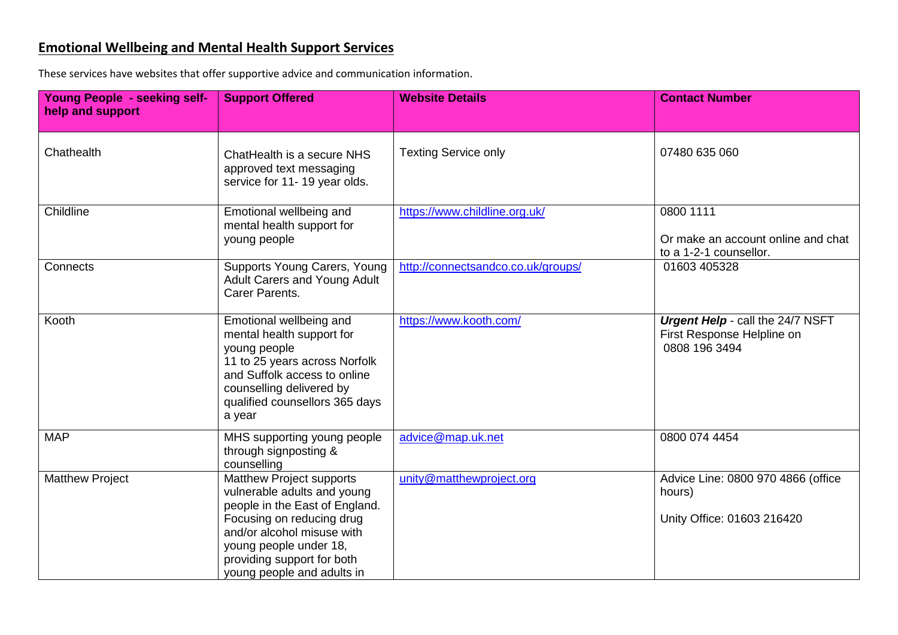## **Emotional Wellbeing and Mental Health Support Services**

These services have websites that offer supportive advice and communication information.

| <b>Young People - seeking self-</b><br>help and support | <b>Support Offered</b>                                                                                                                                                                                                                            | <b>Website Details</b>             | <b>Contact Number</b>                                                           |
|---------------------------------------------------------|---------------------------------------------------------------------------------------------------------------------------------------------------------------------------------------------------------------------------------------------------|------------------------------------|---------------------------------------------------------------------------------|
| Chathealth                                              | ChatHealth is a secure NHS<br>approved text messaging<br>service for 11-19 year olds.                                                                                                                                                             | <b>Texting Service only</b>        | 07480 635 060                                                                   |
| Childline                                               | Emotional wellbeing and<br>mental health support for<br>young people                                                                                                                                                                              | https://www.childline.org.uk/      | 0800 1111<br>Or make an account online and chat<br>to a 1-2-1 counsellor.       |
| Connects                                                | Supports Young Carers, Young<br>Adult Carers and Young Adult<br>Carer Parents.                                                                                                                                                                    | http://connectsandco.co.uk/groups/ | 01603 405328                                                                    |
| Kooth                                                   | Emotional wellbeing and<br>mental health support for<br>young people<br>11 to 25 years across Norfolk<br>and Suffolk access to online<br>counselling delivered by<br>qualified counsellors 365 days<br>a year                                     | https://www.kooth.com/             | Urgent Help - call the 24/7 NSFT<br>First Response Helpline on<br>0808 196 3494 |
| <b>MAP</b>                                              | MHS supporting young people<br>through signposting &<br>counselling                                                                                                                                                                               | advice@map.uk.net                  | 0800 074 4454                                                                   |
| <b>Matthew Project</b>                                  | <b>Matthew Project supports</b><br>vulnerable adults and young<br>people in the East of England.<br>Focusing on reducing drug<br>and/or alcohol misuse with<br>young people under 18,<br>providing support for both<br>young people and adults in | unity@matthewproject.org           | Advice Line: 0800 970 4866 (office<br>hours)<br>Unity Office: 01603 216420      |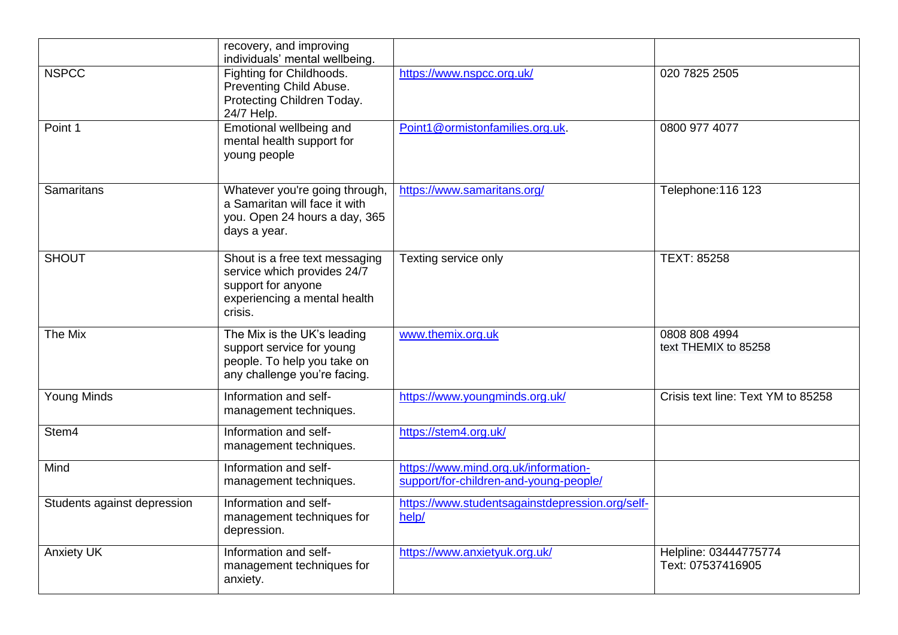|                             | recovery, and improving<br>individuals' mental wellbeing.                                                                      |                                                                                |                                            |
|-----------------------------|--------------------------------------------------------------------------------------------------------------------------------|--------------------------------------------------------------------------------|--------------------------------------------|
| <b>NSPCC</b>                | Fighting for Childhoods.<br>Preventing Child Abuse.<br>Protecting Children Today.<br>24/7 Help.                                | https://www.nspcc.org.uk/                                                      | 020 7825 2505                              |
| Point 1                     | Emotional wellbeing and<br>mental health support for<br>young people                                                           | Point1@ormistonfamilies.org.uk.                                                | 0800 977 4077                              |
| <b>Samaritans</b>           | Whatever you're going through,<br>a Samaritan will face it with<br>you. Open 24 hours a day, 365<br>days a year.               | https://www.samaritans.org/                                                    | Telephone: 116 123                         |
| <b>SHOUT</b>                | Shout is a free text messaging<br>service which provides 24/7<br>support for anyone<br>experiencing a mental health<br>crisis. | Texting service only                                                           | TEXT: 85258                                |
| The Mix                     | The Mix is the UK's leading<br>support service for young<br>people. To help you take on<br>any challenge you're facing.        | www.themix.org.uk                                                              | 0808 808 4994<br>text THEMIX to 85258      |
| <b>Young Minds</b>          | Information and self-<br>management techniques.                                                                                | https://www.youngminds.org.uk/                                                 | Crisis text line: Text YM to 85258         |
| Stem4                       | Information and self-<br>management techniques.                                                                                | https://stem4.org.uk/                                                          |                                            |
| Mind                        | Information and self-<br>management techniques.                                                                                | https://www.mind.org.uk/information-<br>support/for-children-and-young-people/ |                                            |
| Students against depression | Information and self-<br>management techniques for<br>depression.                                                              | https://www.studentsagainstdepression.org/self-<br>help/                       |                                            |
| <b>Anxiety UK</b>           | Information and self-<br>management techniques for<br>anxiety.                                                                 | https://www.anxietyuk.org.uk/                                                  | Helpline: 03444775774<br>Text: 07537416905 |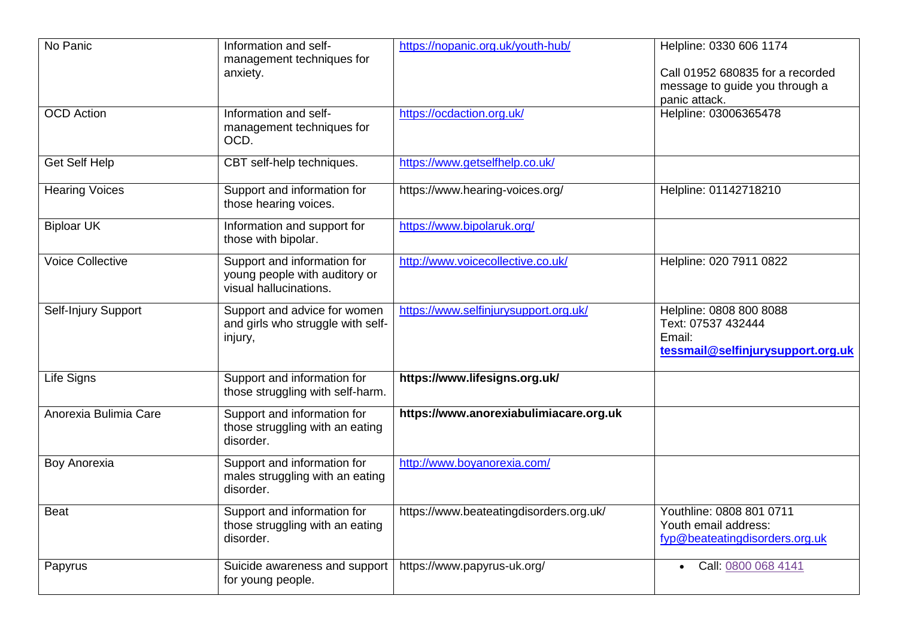| No Panic                | Information and self-<br>management techniques for                                     | https://nopanic.org.uk/youth-hub/       | Helpline: 0330 606 1174                                                                      |
|-------------------------|----------------------------------------------------------------------------------------|-----------------------------------------|----------------------------------------------------------------------------------------------|
|                         | anxiety.                                                                               |                                         | Call 01952 680835 for a recorded<br>message to guide you through a<br>panic attack.          |
| <b>OCD</b> Action       | Information and self-<br>management techniques for<br>OCD.                             | https://ocdaction.org.uk/               | Helpline: 03006365478                                                                        |
| <b>Get Self Help</b>    | CBT self-help techniques.                                                              | https://www.getselfhelp.co.uk/          |                                                                                              |
| <b>Hearing Voices</b>   | Support and information for<br>those hearing voices.                                   | https://www.hearing-voices.org/         | Helpline: 01142718210                                                                        |
| <b>Biploar UK</b>       | Information and support for<br>those with bipolar.                                     | https://www.bipolaruk.org/              |                                                                                              |
| <b>Voice Collective</b> | Support and information for<br>young people with auditory or<br>visual hallucinations. | http://www.voicecollective.co.uk/       | Helpline: 020 7911 0822                                                                      |
| Self-Injury Support     | Support and advice for women<br>and girls who struggle with self-<br>injury,           | https://www.selfinjurysupport.org.uk/   | Helpline: 0808 800 8088<br>Text: 07537 432444<br>Email:<br>tessmail@selfinjurysupport.org.uk |
| Life Signs              | Support and information for<br>those struggling with self-harm.                        | https://www.lifesigns.org.uk/           |                                                                                              |
| Anorexia Bulimia Care   | Support and information for<br>those struggling with an eating<br>disorder.            | https://www.anorexiabulimiacare.org.uk  |                                                                                              |
| Boy Anorexia            | Support and information for<br>males struggling with an eating<br>disorder.            | http://www.boyanorexia.com/             |                                                                                              |
| <b>Beat</b>             | Support and information for<br>those struggling with an eating<br>disorder.            | https://www.beateatingdisorders.org.uk/ | Youthline: 0808 801 0711<br>Youth email address:<br>fyp@beateatingdisorders.org.uk           |
| Papyrus                 | Suicide awareness and support<br>for young people.                                     | https://www.papyrus-uk.org/             | Call: 0800 068 4141<br>$\bullet$                                                             |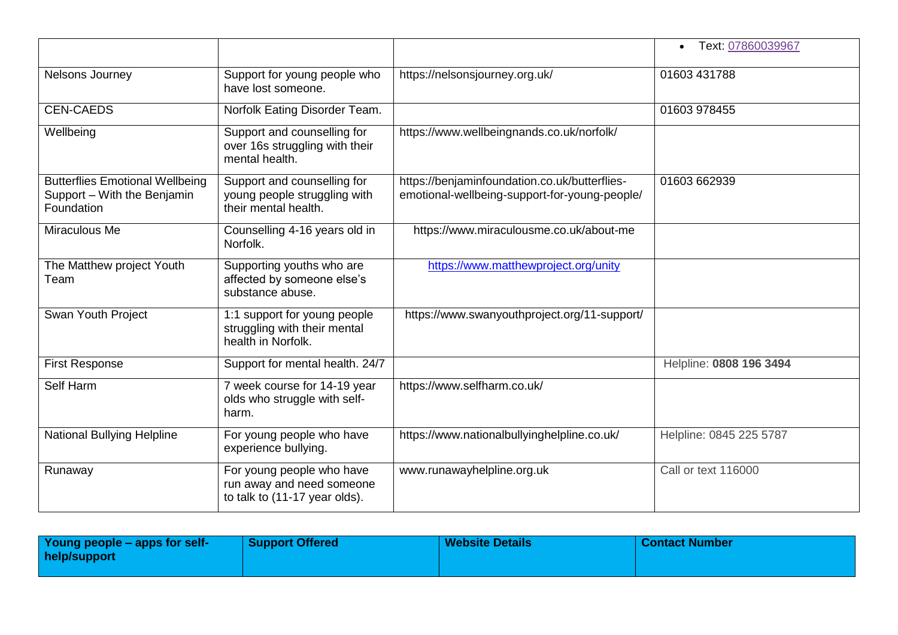|                                                                                     |                                                                                         |                                                                                                | Text: 07860039967<br>$\bullet$ |
|-------------------------------------------------------------------------------------|-----------------------------------------------------------------------------------------|------------------------------------------------------------------------------------------------|--------------------------------|
| Nelsons Journey                                                                     | Support for young people who<br>have lost someone.                                      | https://nelsonsjourney.org.uk/                                                                 | 01603 431788                   |
| <b>CEN-CAEDS</b>                                                                    | Norfolk Eating Disorder Team.                                                           |                                                                                                | 01603 978455                   |
| Wellbeing                                                                           | Support and counselling for<br>over 16s struggling with their<br>mental health.         | https://www.wellbeingnands.co.uk/norfolk/                                                      |                                |
| <b>Butterflies Emotional Wellbeing</b><br>Support - With the Benjamin<br>Foundation | Support and counselling for<br>young people struggling with<br>their mental health.     | https://benjaminfoundation.co.uk/butterflies-<br>emotional-wellbeing-support-for-young-people/ | 01603 662939                   |
| Miraculous Me                                                                       | Counselling 4-16 years old in<br>Norfolk.                                               | https://www.miraculousme.co.uk/about-me                                                        |                                |
| The Matthew project Youth<br>Team                                                   | Supporting youths who are<br>affected by someone else's<br>substance abuse.             | https://www.matthewproject.org/unity                                                           |                                |
| <b>Swan Youth Project</b>                                                           | 1:1 support for young people<br>struggling with their mental<br>health in Norfolk.      | https://www.swanyouthproject.org/11-support/                                                   |                                |
| <b>First Response</b>                                                               | Support for mental health. 24/7                                                         |                                                                                                | Helpline: 0808 196 3494        |
| Self Harm                                                                           | 7 week course for 14-19 year<br>olds who struggle with self-<br>harm.                   | https://www.selfharm.co.uk/                                                                    |                                |
| National Bullying Helpline                                                          | For young people who have<br>experience bullying.                                       | https://www.nationalbullyinghelpline.co.uk/                                                    | Helpline: 0845 225 5787        |
| Runaway                                                                             | For young people who have<br>run away and need someone<br>to talk to (11-17 year olds). | www.runawayhelpline.org.uk                                                                     | Call or text 116000            |

| Young people – apps for self-<br>help/support | <b>Support Offered</b> | <b>Website Details</b> | l Contact Number |
|-----------------------------------------------|------------------------|------------------------|------------------|
|                                               |                        |                        |                  |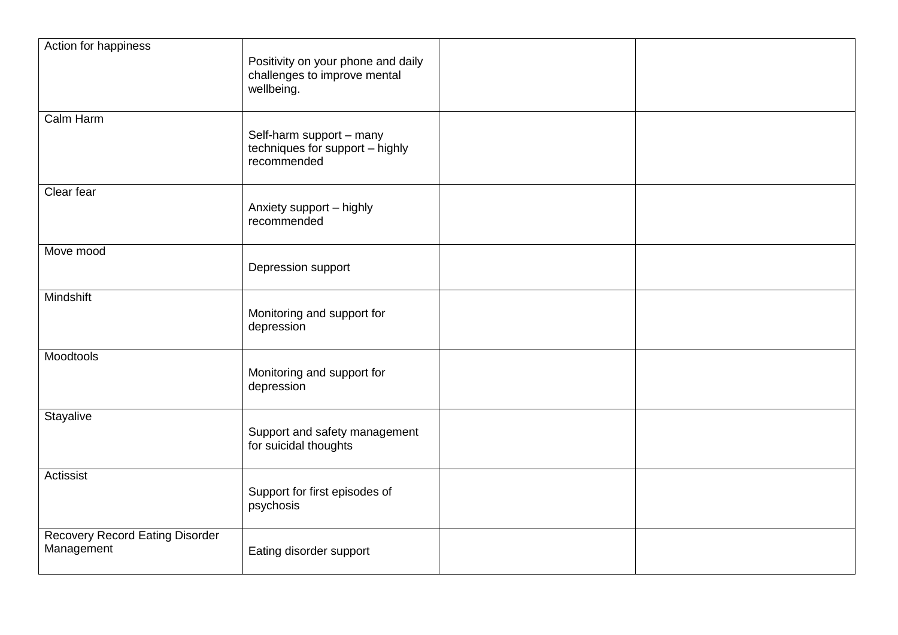| Action for happiness                                 | Positivity on your phone and daily<br>challenges to improve mental<br>wellbeing. |  |
|------------------------------------------------------|----------------------------------------------------------------------------------|--|
| Calm Harm                                            | Self-harm support - many<br>techniques for support - highly<br>recommended       |  |
| Clear fear                                           | Anxiety support - highly<br>recommended                                          |  |
| Move mood                                            | Depression support                                                               |  |
| <b>Mindshift</b>                                     | Monitoring and support for<br>depression                                         |  |
| Moodtools                                            | Monitoring and support for<br>depression                                         |  |
| Stayalive                                            | Support and safety management<br>for suicidal thoughts                           |  |
| Actissist                                            | Support for first episodes of<br>psychosis                                       |  |
| <b>Recovery Record Eating Disorder</b><br>Management | Eating disorder support                                                          |  |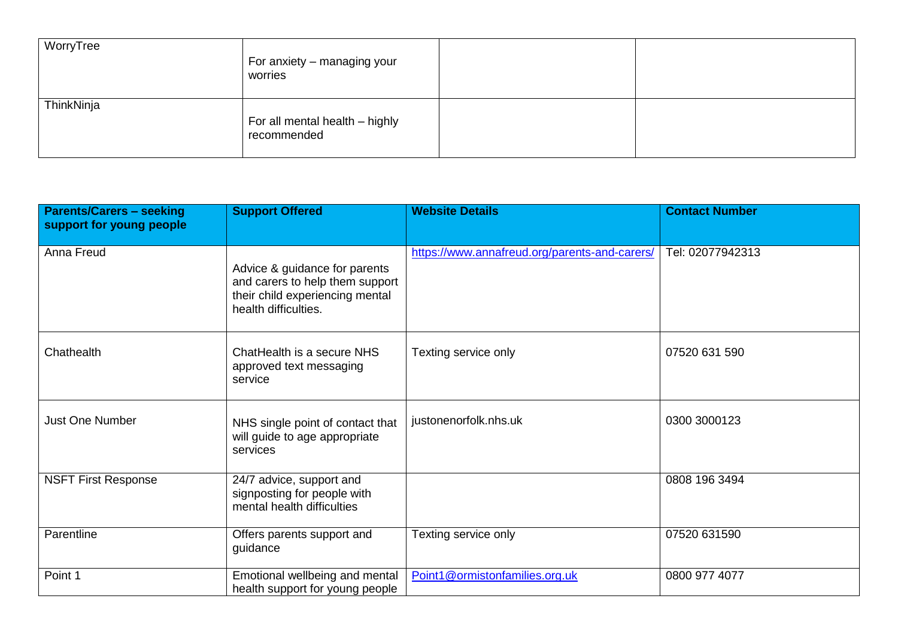| WorryTree  | For anxiety – managing your<br>worries        |  |
|------------|-----------------------------------------------|--|
| ThinkNinja | For all mental health - highly<br>recommended |  |

| <b>Parents/Carers - seeking</b><br>support for young people | <b>Support Offered</b>                                                                                                      | <b>Website Details</b>                        | <b>Contact Number</b> |
|-------------------------------------------------------------|-----------------------------------------------------------------------------------------------------------------------------|-----------------------------------------------|-----------------------|
| Anna Freud                                                  | Advice & guidance for parents<br>and carers to help them support<br>their child experiencing mental<br>health difficulties. | https://www.annafreud.org/parents-and-carers/ | Tel: 02077942313      |
| Chathealth                                                  | ChatHealth is a secure NHS<br>approved text messaging<br>service                                                            | Texting service only                          | 07520 631 590         |
| <b>Just One Number</b>                                      | NHS single point of contact that<br>will guide to age appropriate<br>services                                               | justonenorfolk.nhs.uk                         | 0300 3000123          |
| <b>NSFT First Response</b>                                  | 24/7 advice, support and<br>signposting for people with<br>mental health difficulties                                       |                                               | 0808 196 3494         |
| Parentline                                                  | Offers parents support and<br>guidance                                                                                      | Texting service only                          | 07520 631590          |
| Point 1                                                     | Emotional wellbeing and mental<br>health support for young people                                                           | Point1@ormistonfamilies.org.uk                | 0800 977 4077         |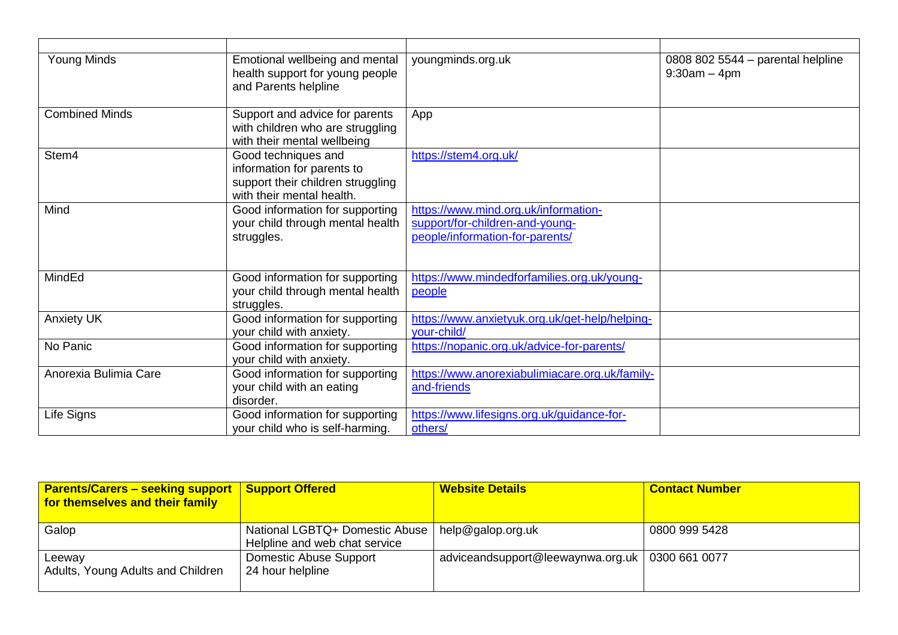| <b>Young Minds</b>    | Emotional wellbeing and mental<br>health support for young people<br>and Parents helpline                           | youngminds.org.uk                                                                                          | 0808 802 5544 - parental helpline<br>$9:30am - 4pm$ |
|-----------------------|---------------------------------------------------------------------------------------------------------------------|------------------------------------------------------------------------------------------------------------|-----------------------------------------------------|
| <b>Combined Minds</b> | Support and advice for parents<br>with children who are struggling<br>with their mental wellbeing                   | App                                                                                                        |                                                     |
| Stem4                 | Good techniques and<br>information for parents to<br>support their children struggling<br>with their mental health. | https://stem4.org.uk/                                                                                      |                                                     |
| Mind                  | Good information for supporting<br>your child through mental health<br>struggles.                                   | https://www.mind.org.uk/information-<br>support/for-children-and-young-<br>people/information-for-parents/ |                                                     |
| MindEd                | Good information for supporting<br>your child through mental health<br>struggles.                                   | https://www.mindedforfamilies.org.uk/young-<br>people                                                      |                                                     |
| <b>Anxiety UK</b>     | Good information for supporting<br>your child with anxiety.                                                         | https://www.anxietyuk.org.uk/get-help/helping-<br>your-child/                                              |                                                     |
| No Panic              | Good information for supporting<br>your child with anxiety.                                                         | https://nopanic.org.uk/advice-for-parents/                                                                 |                                                     |
| Anorexia Bulimia Care | Good information for supporting<br>your child with an eating<br>disorder.                                           | https://www.anorexiabulimiacare.org.uk/family-<br>and-friends                                              |                                                     |
| Life Signs            | Good information for supporting<br>your child who is self-harming.                                                  | https://www.lifesigns.org.uk/guidance-for-<br>others/                                                      |                                                     |

| <b>Parents/Carers – seeking support</b><br>for themselves and their family | <b>Support Offered</b>                                          | <b>Website Details</b>            | <b>Contact Number</b> |
|----------------------------------------------------------------------------|-----------------------------------------------------------------|-----------------------------------|-----------------------|
| Galop                                                                      | National LGBTQ+ Domestic Abuse<br>Helpline and web chat service | help@galop.org.uk                 | 0800 999 5428         |
| Leeway<br>Adults, Young Adults and Children                                | Domestic Abuse Support<br>24 hour helpline                      | adviceandsupport@leewaynwa.org.uk | 0300 661 0077         |